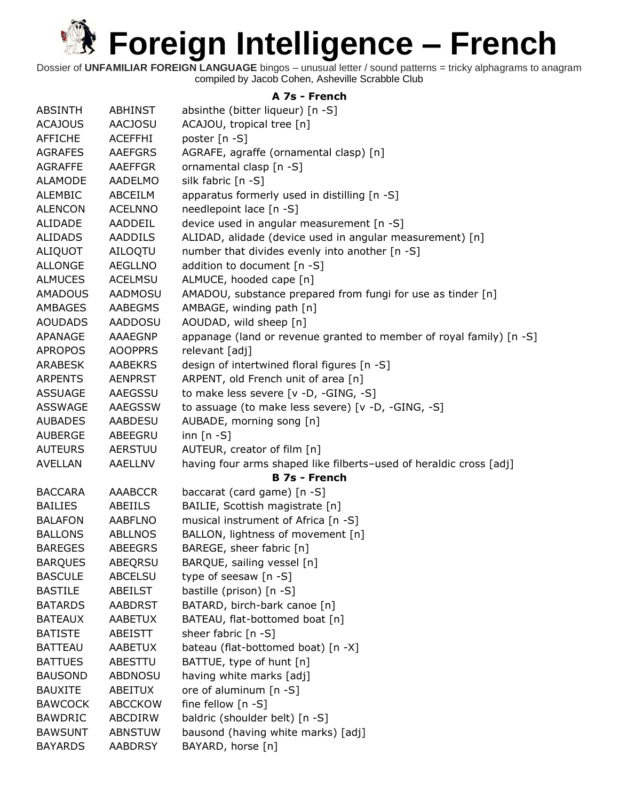Dossier of **UNFAMILIAR FOREIGN LANGUAGE** bingos – unusual letter / sound patterns = tricky alphagrams to anagram compiled by Jacob Cohen, Asheville Scrabble Club

#### **A 7s - French**

| <b>ABSINTH</b> | <b>ABHINST</b> | absinthe (bitter liqueur) [n -S]                                    |
|----------------|----------------|---------------------------------------------------------------------|
| <b>ACAJOUS</b> | <b>AACJOSU</b> | ACAJOU, tropical tree [n]                                           |
| <b>AFFICHE</b> | <b>ACEFFHI</b> | poster [n -S]                                                       |
| <b>AGRAFES</b> | <b>AAEFGRS</b> | AGRAFE, agraffe (ornamental clasp) [n]                              |
| <b>AGRAFFE</b> | AAEFFGR        | ornamental clasp [n -S]                                             |
| <b>ALAMODE</b> | <b>AADELMO</b> | silk fabric [n -S]                                                  |
| <b>ALEMBIC</b> | ABCEILM        | apparatus formerly used in distilling [n -S]                        |
| <b>ALENCON</b> | <b>ACELNNO</b> | needlepoint lace [n -S]                                             |
| ALIDADE        | AADDEIL        | device used in angular measurement [n -S]                           |
| <b>ALIDADS</b> | <b>AADDILS</b> | ALIDAD, alidade (device used in angular measurement) [n]            |
| ALIQUOT        | AILOQTU        | number that divides evenly into another [n -S]                      |
| <b>ALLONGE</b> | <b>AEGLLNO</b> | addition to document [n -S]                                         |
| <b>ALMUCES</b> | <b>ACELMSU</b> | ALMUCE, hooded cape [n]                                             |
| <b>AMADOUS</b> | AADMOSU        | AMADOU, substance prepared from fungi for use as tinder [n]         |
| AMBAGES        | AABEGMS        | AMBAGE, winding path [n]                                            |
| <b>AOUDADS</b> | <b>AADDOSU</b> | AOUDAD, wild sheep [n]                                              |
| APANAGE        | AAAEGNP        | appanage (land or revenue granted to member of royal family) [n -S] |
| <b>APROPOS</b> | <b>AOOPPRS</b> | relevant [adj]                                                      |
| <b>ARABESK</b> | <b>AABEKRS</b> | design of intertwined floral figures [n -S]                         |
| <b>ARPENTS</b> | <b>AENPRST</b> | ARPENT, old French unit of area [n]                                 |
| <b>ASSUAGE</b> | AAEGSSU        | to make less severe [v -D, -GING, -S]                               |
| <b>ASSWAGE</b> | <b>AAEGSSW</b> | to assuage (to make less severe) [v -D, -GING, -S]                  |
| <b>AUBADES</b> | AABDESU        | AUBADE, morning song [n]                                            |
| <b>AUBERGE</b> | ABEEGRU        | inn $[n - S]$                                                       |
| <b>AUTEURS</b> | <b>AERSTUU</b> | AUTEUR, creator of film [n]                                         |
| <b>AVELLAN</b> | AAELLNV        | having four arms shaped like filberts-used of heraldic cross [adj]  |
|                |                | <b>B 7s - French</b>                                                |
| <b>BACCARA</b> | <b>AAABCCR</b> | baccarat (card game) [n -S]                                         |
| <b>BAILIES</b> | ABEIILS        | BAILIE, Scottish magistrate [n]                                     |
| <b>BALAFON</b> | AABFLNO        | musical instrument of Africa [n -S]                                 |
| <b>BALLONS</b> | <b>ABLLNOS</b> | BALLON, lightness of movement [n]                                   |
| <b>BAREGES</b> | <b>ABEEGRS</b> | BAREGE, sheer fabric [n]                                            |
| <b>BARQUES</b> | ABEQRSU        | BARQUE, sailing vessel [n]                                          |
| <b>BASCULE</b> | <b>ABCELSU</b> | type of seesaw [n -S]                                               |
| <b>BASTILE</b> | ABEILST        | bastille (prison) [n -S]                                            |
| <b>BATARDS</b> | <b>AABDRST</b> | BATARD, birch-bark canoe [n]                                        |
| <b>BATEAUX</b> | <b>AABETUX</b> | BATEAU, flat-bottomed boat [n]                                      |
| <b>BATISTE</b> | ABEISTT        | sheer fabric [n -S]                                                 |
| <b>BATTEAU</b> | AABETUX        | bateau (flat-bottomed boat) [n -X]                                  |
| <b>BATTUES</b> | ABESTTU        | BATTUE, type of hunt [n]                                            |
| <b>BAUSOND</b> | <b>ABDNOSU</b> | having white marks [adj]                                            |
| <b>BAUXITE</b> | ABEITUX        | ore of aluminum [n -S]                                              |
| <b>BAWCOCK</b> | <b>ABCCKOW</b> | fine fellow [n -S]                                                  |
| <b>BAWDRIC</b> | ABCDIRW        | baldric (shoulder belt) [n -S]                                      |
| <b>BAWSUNT</b> | <b>ABNSTUW</b> | bausond (having white marks) [adj]                                  |
| <b>BAYARDS</b> | AABDRSY        | BAYARD, horse [n]                                                   |
|                |                |                                                                     |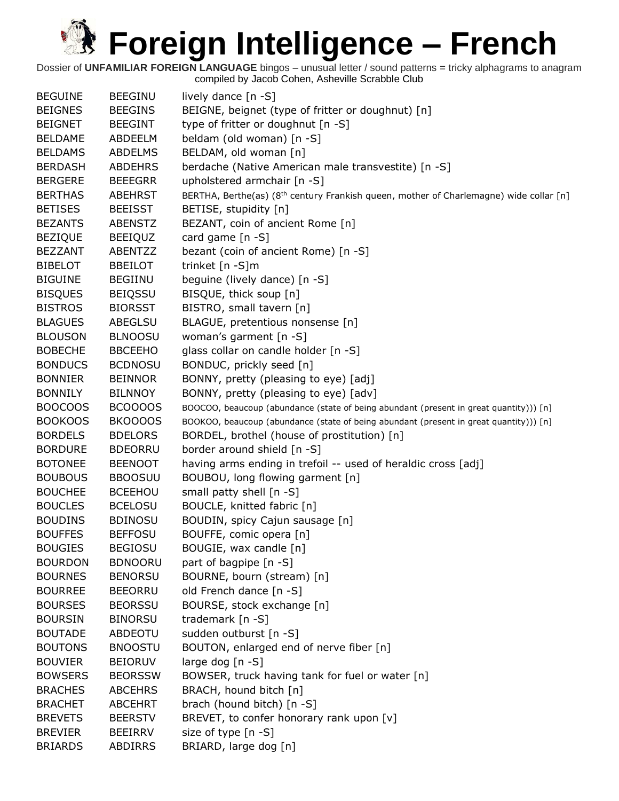| <b>BEGUINE</b> | <b>BEEGINU</b> | lively dance $[n - S]$                                                                             |
|----------------|----------------|----------------------------------------------------------------------------------------------------|
| <b>BEIGNES</b> | <b>BEEGINS</b> | BEIGNE, beignet (type of fritter or doughnut) [n]                                                  |
| <b>BEIGNET</b> | <b>BEEGINT</b> | type of fritter or doughnut [n -S]                                                                 |
| <b>BELDAME</b> | ABDEELM        | beldam (old woman) [n -S]                                                                          |
| <b>BELDAMS</b> | <b>ABDELMS</b> | BELDAM, old woman [n]                                                                              |
| <b>BERDASH</b> | <b>ABDEHRS</b> | berdache (Native American male transvestite) [n -S]                                                |
| <b>BERGERE</b> | <b>BEEEGRR</b> | upholstered armchair [n -S]                                                                        |
| <b>BERTHAS</b> | <b>ABEHRST</b> | BERTHA, Berthe(as) (8 <sup>th</sup> century Frankish queen, mother of Charlemagne) wide collar [n] |
| <b>BETISES</b> | <b>BEEISST</b> | BETISE, stupidity [n]                                                                              |
| <b>BEZANTS</b> | <b>ABENSTZ</b> | BEZANT, coin of ancient Rome [n]                                                                   |
| <b>BEZIQUE</b> | <b>BEEIQUZ</b> | card game [n -S]                                                                                   |
| <b>BEZZANT</b> | ABENTZZ        | bezant (coin of ancient Rome) [n -S]                                                               |
| <b>BIBELOT</b> | <b>BBEILOT</b> | trinket [n -S]m                                                                                    |
| <b>BIGUINE</b> | <b>BEGIINU</b> | beguine (lively dance) [n -S]                                                                      |
| <b>BISQUES</b> | <b>BEIQSSU</b> | BISQUE, thick soup [n]                                                                             |
| <b>BISTROS</b> | <b>BIORSST</b> | BISTRO, small tavern [n]                                                                           |
| <b>BLAGUES</b> | <b>ABEGLSU</b> | BLAGUE, pretentious nonsense [n]                                                                   |
| <b>BLOUSON</b> | <b>BLNOOSU</b> | woman's garment [n -S]                                                                             |
| <b>BOBECHE</b> | <b>BBCEEHO</b> | glass collar on candle holder [n -S]                                                               |
| <b>BONDUCS</b> | <b>BCDNOSU</b> | BONDUC, prickly seed [n]                                                                           |
| <b>BONNIER</b> | <b>BEINNOR</b> | BONNY, pretty (pleasing to eye) [adj]                                                              |
| <b>BONNILY</b> | <b>BILNNOY</b> | BONNY, pretty (pleasing to eye) [adv]                                                              |
| <b>BOOCOOS</b> | BCOOOOS        | BOOCOO, beaucoup (abundance (state of being abundant (present in great quantity))) [n]             |
| <b>BOOKOOS</b> | BKOOOOS        | BOOKOO, beaucoup (abundance (state of being abundant (present in great quantity))) [n]             |
| <b>BORDELS</b> | <b>BDELORS</b> | BORDEL, brothel (house of prostitution) [n]                                                        |
| <b>BORDURE</b> | <b>BDEORRU</b> | border around shield [n -S]                                                                        |
| <b>BOTONEE</b> | <b>BEENOOT</b> | having arms ending in trefoil -- used of heraldic cross [adj]                                      |
| <b>BOUBOUS</b> | <b>BBOOSUU</b> | BOUBOU, long flowing garment [n]                                                                   |
| <b>BOUCHEE</b> | <b>BCEEHOU</b> | small patty shell [n -S]                                                                           |
| <b>BOUCLES</b> | <b>BCELOSU</b> | BOUCLE, knitted fabric [n]                                                                         |
| <b>BOUDINS</b> | <b>BDINOSU</b> | BOUDIN, spicy Cajun sausage [n]                                                                    |
| <b>BOUFFES</b> | <b>BEFFOSU</b> | BOUFFE, comic opera [n]                                                                            |
| <b>BOUGIES</b> | <b>BEGIOSU</b> | BOUGIE, wax candle [n]                                                                             |
| <b>BOURDON</b> | <b>BDNOORU</b> | part of bagpipe [n -S]                                                                             |
| <b>BOURNES</b> | <b>BENORSU</b> | BOURNE, bourn (stream) [n]                                                                         |
| <b>BOURREE</b> | <b>BEEORRU</b> | old French dance [n -S]                                                                            |
| <b>BOURSES</b> | <b>BEORSSU</b> | BOURSE, stock exchange [n]                                                                         |
| <b>BOURSIN</b> | <b>BINORSU</b> | trademark [n -S]                                                                                   |
| <b>BOUTADE</b> | <b>ABDEOTU</b> | sudden outburst [n -S]                                                                             |
| <b>BOUTONS</b> | <b>BNOOSTU</b> | BOUTON, enlarged end of nerve fiber [n]                                                            |
| <b>BOUVIER</b> | <b>BEIORUV</b> | large dog $[n - S]$                                                                                |
| <b>BOWSERS</b> | <b>BEORSSW</b> | BOWSER, truck having tank for fuel or water [n]                                                    |
| <b>BRACHES</b> | <b>ABCEHRS</b> | BRACH, hound bitch [n]                                                                             |
| <b>BRACHET</b> | <b>ABCEHRT</b> | brach (hound bitch) [n -S]                                                                         |
| <b>BREVETS</b> | <b>BEERSTV</b> | BREVET, to confer honorary rank upon [v]                                                           |
| <b>BREVIER</b> | <b>BEEIRRV</b> | size of type [n -S]                                                                                |
| <b>BRIARDS</b> | <b>ABDIRRS</b> | BRIARD, large dog [n]                                                                              |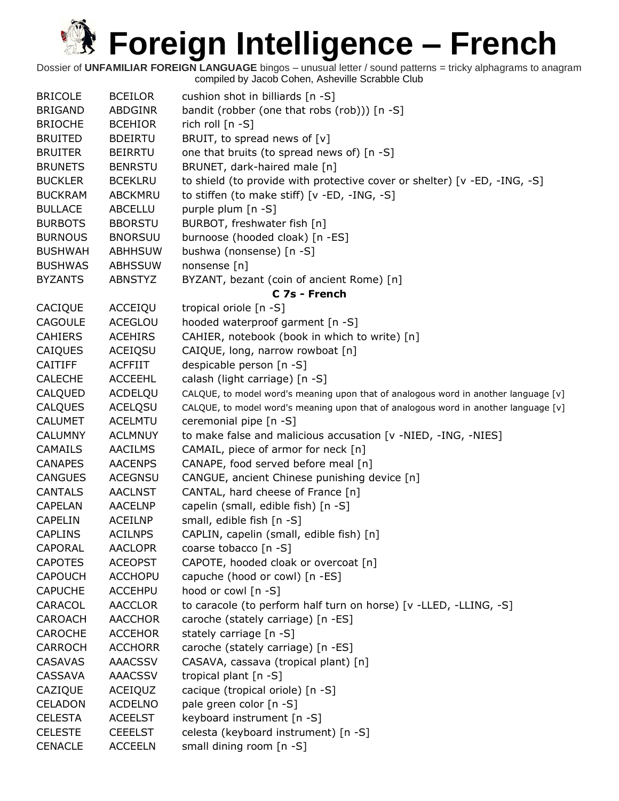| <b>BRICOLE</b> | <b>BCEILOR</b> | cushion shot in billiards [n -S]                                                    |
|----------------|----------------|-------------------------------------------------------------------------------------|
| <b>BRIGAND</b> | <b>ABDGINR</b> | bandit (robber (one that robs (rob))) [n -S]                                        |
| <b>BRIOCHE</b> | <b>BCEHIOR</b> | rich roll [n -S]                                                                    |
| <b>BRUITED</b> | <b>BDEIRTU</b> | BRUIT, to spread news of [v]                                                        |
| <b>BRUITER</b> | <b>BEIRRTU</b> | one that bruits (to spread news of) [n -S]                                          |
| <b>BRUNETS</b> | <b>BENRSTU</b> | BRUNET, dark-haired male [n]                                                        |
| <b>BUCKLER</b> | <b>BCEKLRU</b> | to shield (to provide with protective cover or shelter) [v -ED, -ING, -S]           |
| <b>BUCKRAM</b> | <b>ABCKMRU</b> | to stiffen (to make stiff) [v -ED, -ING, -S]                                        |
| <b>BULLACE</b> | <b>ABCELLU</b> | purple plum [n -S]                                                                  |
| <b>BURBOTS</b> | <b>BBORSTU</b> | BURBOT, freshwater fish [n]                                                         |
| <b>BURNOUS</b> | <b>BNORSUU</b> | burnoose (hooded cloak) [n -ES]                                                     |
| <b>BUSHWAH</b> | <b>ABHHSUW</b> | bushwa (nonsense) [n -S]                                                            |
| <b>BUSHWAS</b> | <b>ABHSSUW</b> | nonsense [n]                                                                        |
| <b>BYZANTS</b> | <b>ABNSTYZ</b> | BYZANT, bezant (coin of ancient Rome) [n]                                           |
|                |                | C 7s - French                                                                       |
| CACIQUE        | ACCEIQU        | tropical oriole [n -S]                                                              |
| <b>CAGOULE</b> | <b>ACEGLOU</b> | hooded waterproof garment [n -S]                                                    |
| <b>CAHIERS</b> | <b>ACEHIRS</b> | CAHIER, notebook (book in which to write) [n]                                       |
| CAIQUES        | <b>ACEIQSU</b> | CAIQUE, long, narrow rowboat [n]                                                    |
| <b>CAITIFF</b> | <b>ACFFIIT</b> | despicable person [n -S]                                                            |
| <b>CALECHE</b> | <b>ACCEEHL</b> | calash (light carriage) [n -S]                                                      |
| CALQUED        | ACDELQU        | CALQUE, to model word's meaning upon that of analogous word in another language [v] |
| <b>CALQUES</b> | <b>ACELQSU</b> | CALQUE, to model word's meaning upon that of analogous word in another language [v] |
| <b>CALUMET</b> | <b>ACELMTU</b> | ceremonial pipe [n -S]                                                              |
| <b>CALUMNY</b> | <b>ACLMNUY</b> | to make false and malicious accusation [v -NIED, -ING, -NIES]                       |
| <b>CAMAILS</b> | <b>AACILMS</b> | CAMAIL, piece of armor for neck [n]                                                 |
| <b>CANAPES</b> | <b>AACENPS</b> | CANAPE, food served before meal [n]                                                 |
| <b>CANGUES</b> | <b>ACEGNSU</b> | CANGUE, ancient Chinese punishing device [n]                                        |
| <b>CANTALS</b> | <b>AACLNST</b> | CANTAL, hard cheese of France [n]                                                   |
| CAPELAN        | <b>AACELNP</b> | capelin (small, edible fish) [n -S]                                                 |
| <b>CAPELIN</b> | <b>ACEILNP</b> | small, edible fish [n -S]                                                           |
| <b>CAPLINS</b> | <b>ACILNPS</b> | CAPLIN, capelin (small, edible fish) [n]                                            |
| CAPORAL        | <b>AACLOPR</b> | coarse tobacco [n -S]                                                               |
| <b>CAPOTES</b> | <b>ACEOPST</b> | CAPOTE, hooded cloak or overcoat [n]                                                |
| <b>CAPOUCH</b> | <b>ACCHOPU</b> | capuche (hood or cowl) [n -ES]                                                      |
| <b>CAPUCHE</b> | <b>ACCEHPU</b> | hood or cowl [n -S]                                                                 |
| CARACOL        | <b>AACCLOR</b> | to caracole (to perform half turn on horse) [v -LLED, -LLING, -S]                   |
| <b>CAROACH</b> | <b>AACCHOR</b> | caroche (stately carriage) [n -ES]                                                  |
| CAROCHE        | <b>ACCEHOR</b> | stately carriage [n -S]                                                             |
| CARROCH        | <b>ACCHORR</b> | caroche (stately carriage) [n -ES]                                                  |
| <b>CASAVAS</b> | <b>AAACSSV</b> | CASAVA, cassava (tropical plant) [n]                                                |
| <b>CASSAVA</b> | <b>AAACSSV</b> | tropical plant [n -S]                                                               |
| CAZIQUE        | ACEIQUZ        | cacique (tropical oriole) [n -S]                                                    |
| CELADON        | <b>ACDELNO</b> | pale green color [n -S]                                                             |
| <b>CELESTA</b> | <b>ACEELST</b> | keyboard instrument [n -S]                                                          |
| <b>CELESTE</b> | <b>CEEELST</b> | celesta (keyboard instrument) [n -S]                                                |
| <b>CENACLE</b> | <b>ACCEELN</b> | small dining room [n -S]                                                            |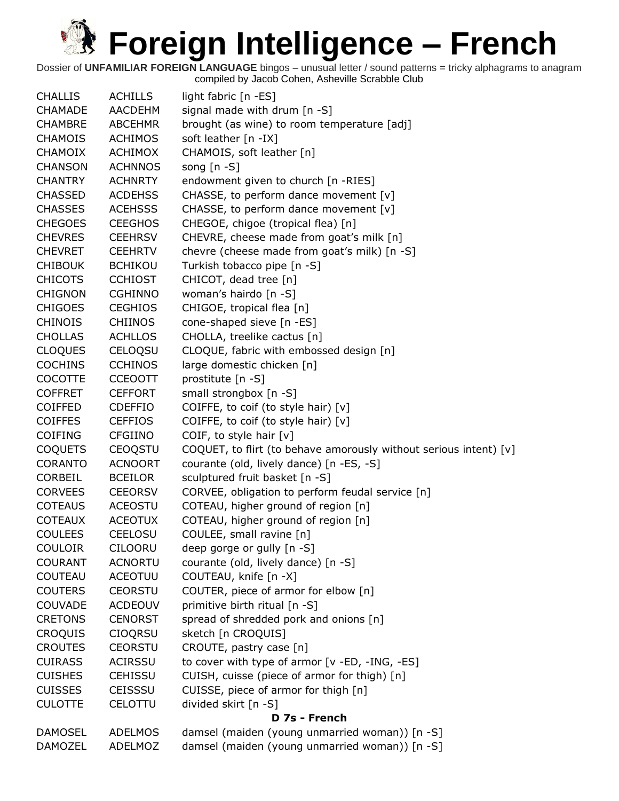| <b>CHALLIS</b> | <b>ACHILLS</b> | light fabric [n -ES]                                              |
|----------------|----------------|-------------------------------------------------------------------|
| <b>CHAMADE</b> | <b>AACDEHM</b> | signal made with drum $[n -S]$                                    |
| <b>CHAMBRE</b> | <b>ABCEHMR</b> | brought (as wine) to room temperature [adj]                       |
| <b>CHAMOIS</b> | <b>ACHIMOS</b> | soft leather [n -IX]                                              |
| <b>CHAMOIX</b> | <b>ACHIMOX</b> | CHAMOIS, soft leather [n]                                         |
| <b>CHANSON</b> | <b>ACHNNOS</b> | song $[n - S]$                                                    |
| <b>CHANTRY</b> | <b>ACHNRTY</b> | endowment given to church [n -RIES]                               |
| <b>CHASSED</b> | <b>ACDEHSS</b> | CHASSE, to perform dance movement [v]                             |
| <b>CHASSES</b> | <b>ACEHSSS</b> | CHASSE, to perform dance movement [v]                             |
| <b>CHEGOES</b> | <b>CEEGHOS</b> | CHEGOE, chigoe (tropical flea) [n]                                |
| <b>CHEVRES</b> | <b>CEEHRSV</b> | CHEVRE, cheese made from goat's milk [n]                          |
| <b>CHEVRET</b> | <b>CEEHRTV</b> | chevre (cheese made from goat's milk) [n -S]                      |
| <b>CHIBOUK</b> | <b>BCHIKOU</b> | Turkish tobacco pipe [n -S]                                       |
| <b>CHICOTS</b> | <b>CCHIOST</b> | CHICOT, dead tree [n]                                             |
| <b>CHIGNON</b> | <b>CGHINNO</b> | woman's hairdo [n -S]                                             |
| <b>CHIGOES</b> | <b>CEGHIOS</b> | CHIGOE, tropical flea [n]                                         |
| <b>CHINOIS</b> | <b>CHIINOS</b> | cone-shaped sieve [n -ES]                                         |
| <b>CHOLLAS</b> | <b>ACHLLOS</b> | CHOLLA, treelike cactus [n]                                       |
| <b>CLOQUES</b> | CELOQSU        | CLOQUE, fabric with embossed design [n]                           |
| <b>COCHINS</b> | <b>CCHINOS</b> | large domestic chicken [n]                                        |
| <b>COCOTTE</b> | <b>CCEOOTT</b> | prostitute [n -S]                                                 |
| <b>COFFRET</b> | <b>CEFFORT</b> | small strongbox [n -S]                                            |
| <b>COIFFED</b> | <b>CDEFFIO</b> | COIFFE, to coif (to style hair) [v]                               |
| <b>COIFFES</b> | <b>CEFFIOS</b> | COIFFE, to coif (to style hair) [v]                               |
| <b>COIFING</b> | <b>CFGIINO</b> | COIF, to style hair [v]                                           |
| <b>COQUETS</b> | <b>CEOQSTU</b> | COQUET, to flirt (to behave amorously without serious intent) [v] |
| <b>CORANTO</b> | <b>ACNOORT</b> | courante (old, lively dance) [n -ES, -S]                          |
| <b>CORBEIL</b> | <b>BCEILOR</b> | sculptured fruit basket [n -S]                                    |
| CORVEES        | <b>CEEORSV</b> | CORVEE, obligation to perform feudal service [n]                  |
| <b>COTEAUS</b> | <b>ACEOSTU</b> | COTEAU, higher ground of region [n]                               |
| <b>COTEAUX</b> | <b>ACEOTUX</b> | COTEAU, higher ground of region [n]                               |
| <b>COULEES</b> | <b>CEELOSU</b> | COULEE, small ravine [n]                                          |
| <b>COULOIR</b> | <b>CILOORU</b> | deep gorge or gully [n -S]                                        |
| <b>COURANT</b> | <b>ACNORTU</b> | courante (old, lively dance) [n -S]                               |
| <b>COUTEAU</b> | ACEOTUU        | COUTEAU, knife [n -X]                                             |
| <b>COUTERS</b> | <b>CEORSTU</b> | COUTER, piece of armor for elbow [n]                              |
| COUVADE        | <b>ACDEOUV</b> | primitive birth ritual [n -S]                                     |
| <b>CRETONS</b> | <b>CENORST</b> | spread of shredded pork and onions [n]                            |
| <b>CROQUIS</b> | <b>CIOQRSU</b> | sketch [n CROQUIS]                                                |
| <b>CROUTES</b> | <b>CEORSTU</b> | CROUTE, pastry case [n]                                           |
| <b>CUIRASS</b> | <b>ACIRSSU</b> | to cover with type of armor [v -ED, -ING, -ES]                    |
| <b>CUISHES</b> | <b>CEHISSU</b> | CUISH, cuisse (piece of armor for thigh) [n]                      |
| <b>CUISSES</b> | <b>CEISSSU</b> | CUISSE, piece of armor for thigh [n]                              |
| <b>CULOTTE</b> | CELOTTU        | divided skirt [n -S]                                              |
|                |                | D 7s - French                                                     |
| <b>DAMOSEL</b> | <b>ADELMOS</b> | damsel (maiden (young unmarried woman)) [n -S]                    |
| <b>DAMOZEL</b> | <b>ADELMOZ</b> | damsel (maiden (young unmarried woman)) [n -S]                    |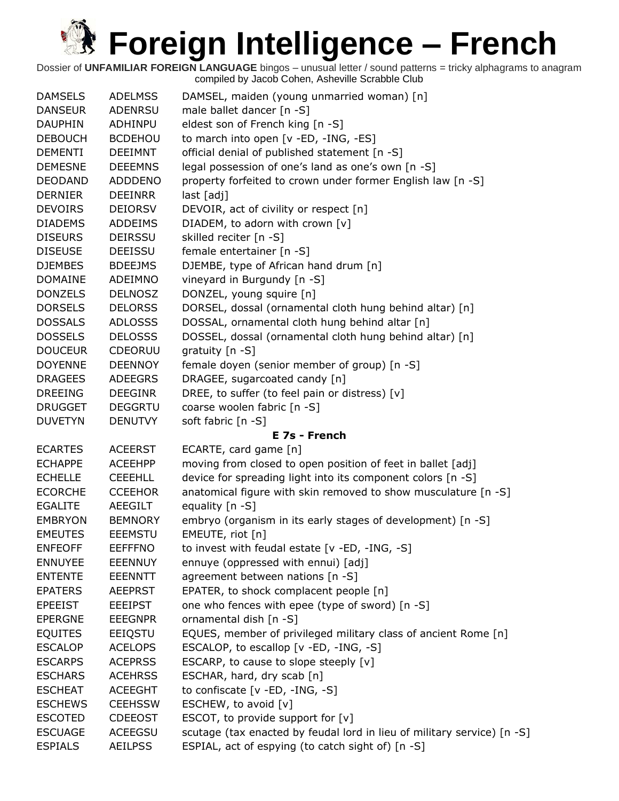| <b>DAMSELS</b> | <b>ADELMSS</b> | DAMSEL, maiden (young unmarried woman) [n]                              |
|----------------|----------------|-------------------------------------------------------------------------|
| <b>DANSEUR</b> | <b>ADENRSU</b> | male ballet dancer [n -S]                                               |
| <b>DAUPHIN</b> | ADHINPU        | eldest son of French king [n -S]                                        |
| <b>DEBOUCH</b> | <b>BCDEHOU</b> | to march into open [v -ED, -ING, -ES]                                   |
| <b>DEMENTI</b> | <b>DEEIMNT</b> | official denial of published statement [n -S]                           |
| <b>DEMESNE</b> | <b>DEEEMNS</b> | legal possession of one's land as one's own [n -S]                      |
| <b>DEODAND</b> | <b>ADDDENO</b> | property forfeited to crown under former English law [n -S]             |
| <b>DERNIER</b> | <b>DEEINRR</b> | last [adj]                                                              |
| <b>DEVOIRS</b> | <b>DEIORSV</b> | DEVOIR, act of civility or respect [n]                                  |
| <b>DIADEMS</b> | <b>ADDEIMS</b> | DIADEM, to adorn with crown [v]                                         |
| <b>DISEURS</b> | <b>DEIRSSU</b> | skilled reciter [n -S]                                                  |
| <b>DISEUSE</b> | <b>DEEISSU</b> | female entertainer [n -S]                                               |
| <b>DJEMBES</b> | <b>BDEEJMS</b> | DJEMBE, type of African hand drum [n]                                   |
| <b>DOMAINE</b> | ADEIMNO        | vineyard in Burgundy [n -S]                                             |
| <b>DONZELS</b> | <b>DELNOSZ</b> | DONZEL, young squire [n]                                                |
| <b>DORSELS</b> | <b>DELORSS</b> | DORSEL, dossal (ornamental cloth hung behind altar) [n]                 |
| <b>DOSSALS</b> | <b>ADLOSSS</b> | DOSSAL, ornamental cloth hung behind altar [n]                          |
| <b>DOSSELS</b> | <b>DELOSSS</b> | DOSSEL, dossal (ornamental cloth hung behind altar) [n]                 |
| <b>DOUCEUR</b> | <b>CDEORUU</b> | gratuity [n -S]                                                         |
| <b>DOYENNE</b> | <b>DEENNOY</b> | female doyen (senior member of group) [n -S]                            |
| <b>DRAGEES</b> | <b>ADEEGRS</b> | DRAGEE, sugarcoated candy [n]                                           |
| <b>DREEING</b> | <b>DEEGINR</b> | DREE, to suffer (to feel pain or distress) [v]                          |
| <b>DRUGGET</b> | <b>DEGGRTU</b> | coarse woolen fabric [n -S]                                             |
| <b>DUVETYN</b> | <b>DENUTVY</b> | soft fabric [n -S]                                                      |
|                |                | E 7s - French                                                           |
| <b>ECARTES</b> | <b>ACEERST</b> | ECARTE, card game [n]                                                   |
| <b>ECHAPPE</b> | <b>ACEEHPP</b> | moving from closed to open position of feet in ballet [adj]             |
| <b>ECHELLE</b> | <b>CEEEHLL</b> | device for spreading light into its component colors [n -S]             |
| <b>ECORCHE</b> | <b>CCEEHOR</b> | anatomical figure with skin removed to show musculature [n -S]          |
| <b>EGALITE</b> | AEEGILT        | equality [n -S]                                                         |
| <b>EMBRYON</b> | <b>BEMNORY</b> | embryo (organism in its early stages of development) [n -S]             |
| <b>EMEUTES</b> | <b>EEEMSTU</b> | EMEUTE, riot [n]                                                        |
| <b>ENFEOFF</b> | <b>EEFFFNO</b> | to invest with feudal estate $[v - ED, -ING, -S]$                       |
| <b>ENNUYEE</b> | <b>EEENNUY</b> | ennuye (oppressed with ennui) [adj]                                     |
| <b>ENTENTE</b> | EEENNTT        | agreement between nations [n -S]                                        |
| <b>EPATERS</b> | <b>AEEPRST</b> | EPATER, to shock complacent people [n]                                  |
| <b>EPEEIST</b> | <b>EEEIPST</b> | one who fences with epee (type of sword) [n -S]                         |
| <b>EPERGNE</b> | <b>EEEGNPR</b> | ornamental dish [n -S]                                                  |
| <b>EQUITES</b> | EEIQSTU        | EQUES, member of privileged military class of ancient Rome [n]          |
| <b>ESCALOP</b> | <b>ACELOPS</b> | ESCALOP, to escallop [v -ED, -ING, -S]                                  |
| <b>ESCARPS</b> | <b>ACEPRSS</b> | ESCARP, to cause to slope steeply [v]                                   |
| <b>ESCHARS</b> | <b>ACEHRSS</b> | ESCHAR, hard, dry scab [n]                                              |
| <b>ESCHEAT</b> | <b>ACEEGHT</b> | to confiscate $[v - ED, -ING, -S]$                                      |
| <b>ESCHEWS</b> | <b>CEEHSSW</b> | ESCHEW, to avoid [v]                                                    |
| <b>ESCOTED</b> | <b>CDEEOST</b> | ESCOT, to provide support for [v]                                       |
| <b>ESCUAGE</b> | ACEEGSU        | scutage (tax enacted by feudal lord in lieu of military service) [n -S] |
| <b>ESPIALS</b> | <b>AEILPSS</b> | ESPIAL, act of espying (to catch sight of) [n -S]                       |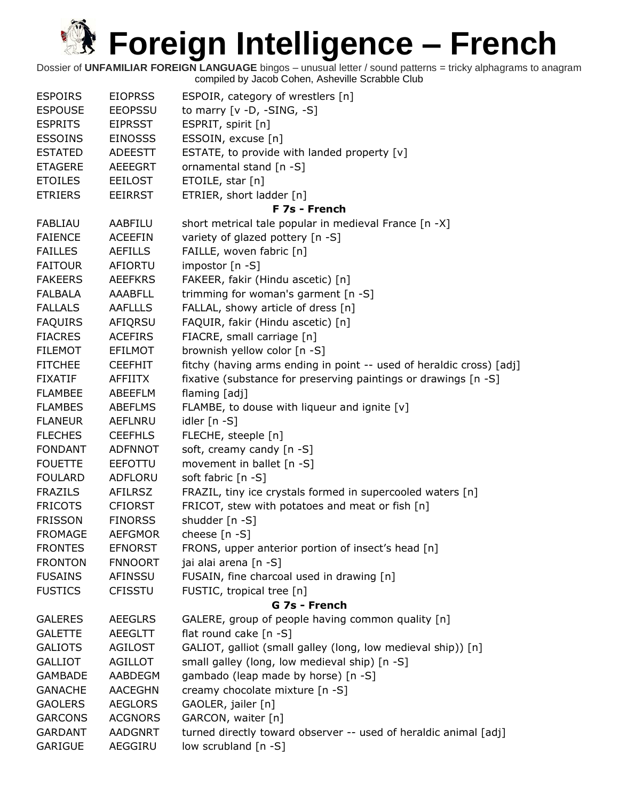| <b>ESPOIRS</b> | <b>EIOPRSS</b> | ESPOIR, category of wrestlers [n]                                    |
|----------------|----------------|----------------------------------------------------------------------|
| <b>ESPOUSE</b> | <b>EEOPSSU</b> | to marry $[v -D, -SING, -S]$                                         |
| <b>ESPRITS</b> | <b>EIPRSST</b> | ESPRIT, spirit [n]                                                   |
| <b>ESSOINS</b> | <b>EINOSSS</b> | ESSOIN, excuse [n]                                                   |
| <b>ESTATED</b> | <b>ADEESTT</b> | ESTATE, to provide with landed property [v]                          |
| <b>ETAGERE</b> | <b>AEEEGRT</b> | ornamental stand [n -S]                                              |
| <b>ETOILES</b> | <b>EEILOST</b> | ETOILE, star [n]                                                     |
| <b>ETRIERS</b> | <b>EEIRRST</b> | ETRIER, short ladder [n]                                             |
|                |                | F 7s - French                                                        |
| <b>FABLIAU</b> | AABFILU        | short metrical tale popular in medieval France [n -X]                |
| <b>FAIENCE</b> | <b>ACEEFIN</b> | variety of glazed pottery [n -S]                                     |
| <b>FAILLES</b> | <b>AEFILLS</b> | FAILLE, woven fabric [n]                                             |
| <b>FAITOUR</b> | AFIORTU        | impostor [n -S]                                                      |
| <b>FAKEERS</b> | <b>AEEFKRS</b> | FAKEER, fakir (Hindu ascetic) [n]                                    |
| <b>FALBALA</b> | AAABFLL        | trimming for woman's garment [n -S]                                  |
| <b>FALLALS</b> | <b>AAFLLLS</b> | FALLAL, showy article of dress [n]                                   |
| <b>FAQUIRS</b> | AFIQRSU        | FAQUIR, fakir (Hindu ascetic) [n]                                    |
| <b>FIACRES</b> | <b>ACEFIRS</b> | FIACRE, small carriage [n]                                           |
| <b>FILEMOT</b> | <b>EFILMOT</b> | brownish yellow color [n -S]                                         |
| <b>FITCHEE</b> | <b>CEEFHIT</b> | fitchy (having arms ending in point -- used of heraldic cross) [adj] |
| <b>FIXATIF</b> | <b>AFFIITX</b> | fixative (substance for preserving paintings or drawings [n -S]      |
| <b>FLAMBEE</b> | ABEEFLM        | flaming [adj]                                                        |
| <b>FLAMBES</b> | <b>ABEFLMS</b> | FLAMBE, to douse with liqueur and ignite [v]                         |
| <b>FLANEUR</b> | AEFLNRU        | idler [n -S]                                                         |
| <b>FLECHES</b> | <b>CEEFHLS</b> | FLECHE, steeple [n]                                                  |
| <b>FONDANT</b> | <b>ADFNNOT</b> | soft, creamy candy [n -S]                                            |
| <b>FOUETTE</b> | <b>EEFOTTU</b> | movement in ballet [n -S]                                            |
| <b>FOULARD</b> | ADFLORU        | soft fabric [n -S]                                                   |
| <b>FRAZILS</b> | AFILRSZ        | FRAZIL, tiny ice crystals formed in supercooled waters [n]           |
| <b>FRICOTS</b> | <b>CFIORST</b> | FRICOT, stew with potatoes and meat or fish [n]                      |
| <b>FRISSON</b> | <b>FINORSS</b> | shudder [n -S]                                                       |
| <b>FROMAGE</b> | <b>AEFGMOR</b> | cheese [n -S]                                                        |
| <b>FRONTES</b> | <b>EFNORST</b> | FRONS, upper anterior portion of insect's head [n]                   |
| <b>FRONTON</b> | <b>FNNOORT</b> | jai alai arena [n -S]                                                |
| <b>FUSAINS</b> | AFINSSU        | FUSAIN, fine charcoal used in drawing [n]                            |
| <b>FUSTICS</b> | <b>CFISSTU</b> | FUSTIC, tropical tree [n]                                            |
|                |                | G 7s - French                                                        |
| <b>GALERES</b> | <b>AEEGLRS</b> | GALERE, group of people having common quality [n]                    |
| <b>GALETTE</b> | AEEGLTT        | flat round cake [n -S]                                               |
| <b>GALIOTS</b> | <b>AGILOST</b> | GALIOT, galliot (small galley (long, low medieval ship)) [n]         |
| <b>GALLIOT</b> | <b>AGILLOT</b> | small galley (long, low medieval ship) [n -S]                        |
| <b>GAMBADE</b> | AABDEGM        | gambado (leap made by horse) [n -S]                                  |
| <b>GANACHE</b> | <b>AACEGHN</b> | creamy chocolate mixture [n -S]                                      |
| <b>GAOLERS</b> | <b>AEGLORS</b> | GAOLER, jailer [n]                                                   |
| <b>GARCONS</b> | <b>ACGNORS</b> | GARCON, waiter [n]                                                   |
| <b>GARDANT</b> | <b>AADGNRT</b> | turned directly toward observer -- used of heraldic animal [adj]     |
| GARIGUE        | AEGGIRU        | low scrubland [n -S]                                                 |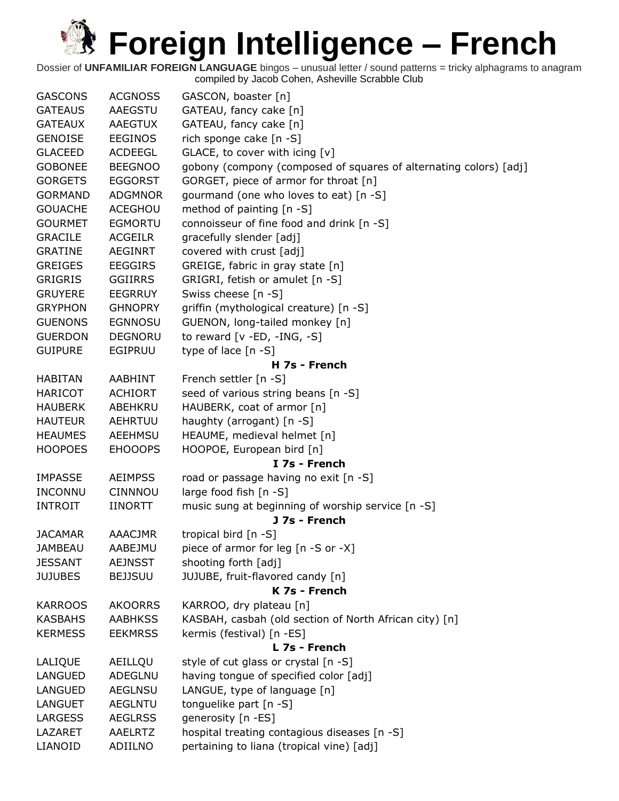| <b>GASCONS</b> | <b>ACGNOSS</b> | GASCON, boaster [n]                                               |
|----------------|----------------|-------------------------------------------------------------------|
| <b>GATEAUS</b> | AAEGSTU        | GATEAU, fancy cake [n]                                            |
| <b>GATEAUX</b> | <b>AAEGTUX</b> | GATEAU, fancy cake [n]                                            |
| <b>GENOISE</b> | <b>EEGINOS</b> | rich sponge cake [n -S]                                           |
| <b>GLACEED</b> | <b>ACDEEGL</b> | GLACE, to cover with icing [v]                                    |
| <b>GOBONEE</b> | <b>BEEGNOO</b> | gobony (compony (composed of squares of alternating colors) [adj] |
| <b>GORGETS</b> | <b>EGGORST</b> | GORGET, piece of armor for throat [n]                             |
| <b>GORMAND</b> | <b>ADGMNOR</b> | gourmand (one who loves to eat) [n -S]                            |
| <b>GOUACHE</b> | <b>ACEGHOU</b> | method of painting [n -S]                                         |
| <b>GOURMET</b> | <b>EGMORTU</b> | connoisseur of fine food and drink [n -S]                         |
| <b>GRACILE</b> | <b>ACGEILR</b> | gracefully slender [adj]                                          |
| <b>GRATINE</b> | <b>AEGINRT</b> | covered with crust [adj]                                          |
| <b>GREIGES</b> | <b>EEGGIRS</b> | GREIGE, fabric in gray state [n]                                  |
| <b>GRIGRIS</b> | <b>GGIIRRS</b> | GRIGRI, fetish or amulet [n -S]                                   |
| <b>GRUYERE</b> | <b>EEGRRUY</b> | Swiss cheese [n -S]                                               |
| <b>GRYPHON</b> | <b>GHNOPRY</b> | griffin (mythological creature) [n -S]                            |
| <b>GUENONS</b> | <b>EGNNOSU</b> | GUENON, long-tailed monkey [n]                                    |
| <b>GUERDON</b> | <b>DEGNORU</b> | to reward $[v - ED, -ING, -S]$                                    |
| <b>GUIPURE</b> | <b>EGIPRUU</b> | type of lace [n -S]                                               |
|                |                | H 7s - French                                                     |
| <b>HABITAN</b> | <b>AABHINT</b> | French settler [n -S]                                             |
| <b>HARICOT</b> | <b>ACHIORT</b> | seed of various string beans [n -S]                               |
| <b>HAUBERK</b> | ABEHKRU        | HAUBERK, coat of armor [n]                                        |
| <b>HAUTEUR</b> | <b>AEHRTUU</b> | haughty (arrogant) [n -S]                                         |
| <b>HEAUMES</b> | <b>AEEHMSU</b> | HEAUME, medieval helmet [n]                                       |
| <b>HOOPOES</b> | <b>EHOOOPS</b> | HOOPOE, European bird [n]                                         |
|                |                | I 7s - French                                                     |
| <b>IMPASSE</b> | <b>AEIMPSS</b> | road or passage having no exit [n -S]                             |
| <b>INCONNU</b> | <b>CINNNOU</b> | large food fish [n -S]                                            |
| <b>INTROIT</b> | <b>IINORTT</b> | music sung at beginning of worship service [n -S]                 |
|                |                | J 7s - French                                                     |
| <b>JACAMAR</b> | <b>AAACJMR</b> | tropical bird [n -S]                                              |
| <b>JAMBEAU</b> | AABEJMU        | piece of armor for leg [n -S or -X]                               |
| <b>JESSANT</b> | <b>AEJNSST</b> | shooting forth [adj]                                              |
| <b>JUJUBES</b> | <b>BEJJSUU</b> | JUJUBE, fruit-flavored candy [n]                                  |
|                |                | K 7s - French                                                     |
| <b>KARROOS</b> | <b>AKOORRS</b> | KARROO, dry plateau [n]                                           |
| <b>KASBAHS</b> | <b>AABHKSS</b> | KASBAH, casbah (old section of North African city) [n]            |
| <b>KERMESS</b> | <b>EEKMRSS</b> | kermis (festival) [n -ES]                                         |
|                |                | L 7s - French                                                     |
| LALIQUE        | AEILLQU        | style of cut glass or crystal [n -S]                              |
| LANGUED        | <b>ADEGLNU</b> | having tongue of specified color [adj]                            |
| LANGUED        | <b>AEGLNSU</b> | LANGUE, type of language [n]                                      |
| <b>LANGUET</b> | <b>AEGLNTU</b> | tonguelike part [n -S]                                            |
| <b>LARGESS</b> | <b>AEGLRSS</b> | generosity [n -ES]                                                |
| LAZARET        | <b>AAELRTZ</b> | hospital treating contagious diseases [n -S]                      |
| LIANOID        | ADIILNO        | pertaining to liana (tropical vine) [adj]                         |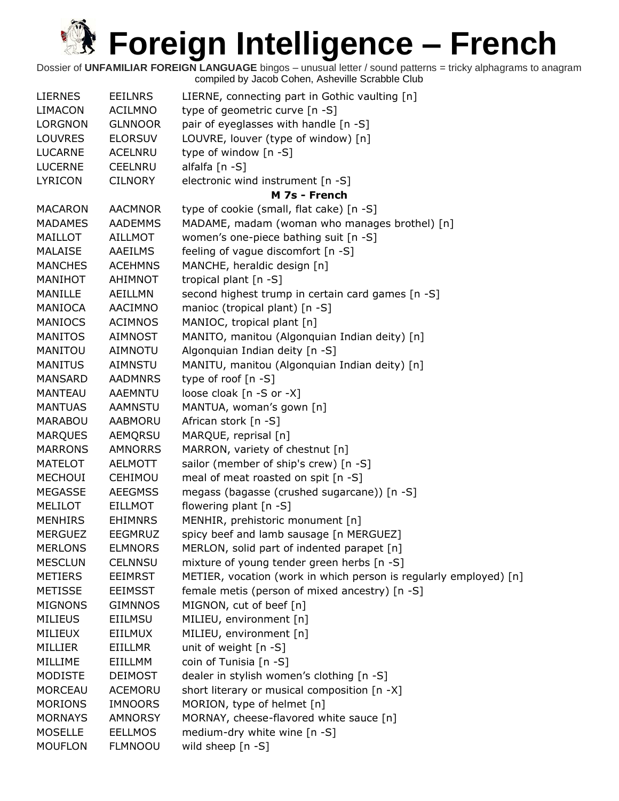| <b>LIERNES</b> | <b>EEILNRS</b> | LIERNE, connecting part in Gothic vaulting [n]                    |
|----------------|----------------|-------------------------------------------------------------------|
| <b>LIMACON</b> | <b>ACILMNO</b> | type of geometric curve [n -S]                                    |
| <b>LORGNON</b> | <b>GLNNOOR</b> | pair of eyeglasses with handle [n -S]                             |
| <b>LOUVRES</b> | <b>ELORSUV</b> | LOUVRE, louver (type of window) [n]                               |
| <b>LUCARNE</b> | <b>ACELNRU</b> | type of window [n -S]                                             |
| <b>LUCERNE</b> | <b>CEELNRU</b> | alfalfa [n -S]                                                    |
| <b>LYRICON</b> | <b>CILNORY</b> | electronic wind instrument [n -S]                                 |
|                |                | M 7s - French                                                     |
| <b>MACARON</b> | <b>AACMNOR</b> | type of cookie (small, flat cake) [n -S]                          |
| <b>MADAMES</b> | <b>AADEMMS</b> | MADAME, madam (woman who manages brothel) [n]                     |
| MAILLOT        | <b>AILLMOT</b> | women's one-piece bathing suit [n -S]                             |
| MALAISE        | AAEILMS        | feeling of vague discomfort [n -S]                                |
| <b>MANCHES</b> | <b>ACEHMNS</b> | MANCHE, heraldic design [n]                                       |
| MANIHOT        | AHIMNOT        | tropical plant [n -S]                                             |
| MANILLE        | AEILLMN        | second highest trump in certain card games [n -S]                 |
| MANIOCA        | AACIMNO        | manioc (tropical plant) [n -S]                                    |
| <b>MANIOCS</b> | <b>ACIMNOS</b> | MANIOC, tropical plant [n]                                        |
| <b>MANITOS</b> | AIMNOST        | MANITO, manitou (Algonquian Indian deity) [n]                     |
| MANITOU        | <b>AIMNOTU</b> | Algonquian Indian deity [n -S]                                    |
| <b>MANITUS</b> | <b>AIMNSTU</b> | MANITU, manitou (Algonquian Indian deity) [n]                     |
| <b>MANSARD</b> | <b>AADMNRS</b> | type of roof $[n - S]$                                            |
| <b>MANTEAU</b> | AAEMNTU        | loose cloak [n -S or -X]                                          |
| <b>MANTUAS</b> | <b>AAMNSTU</b> | MANTUA, woman's gown [n]                                          |
| <b>MARABOU</b> | AABMORU        | African stork [n -S]                                              |
| <b>MARQUES</b> | AEMQRSU        | MARQUE, reprisal [n]                                              |
| <b>MARRONS</b> | <b>AMNORRS</b> | MARRON, variety of chestnut [n]                                   |
| <b>MATELOT</b> | <b>AELMOTT</b> | sailor (member of ship's crew) [n -S]                             |
| <b>MECHOUI</b> | CEHIMOU        | meal of meat roasted on spit [n -S]                               |
| <b>MEGASSE</b> | <b>AEEGMSS</b> | megass (bagasse (crushed sugarcane)) [n -S]                       |
| MELILOT        | <b>EILLMOT</b> | flowering plant [n -S]                                            |
| <b>MENHIRS</b> | <b>EHIMNRS</b> | MENHIR, prehistoric monument [n]                                  |
| <b>MERGUEZ</b> | <b>EEGMRUZ</b> | spicy beef and lamb sausage [n MERGUEZ]                           |
| <b>MERLONS</b> | <b>ELMNORS</b> | MERLON, solid part of indented parapet [n]                        |
| <b>MESCLUN</b> | <b>CELNNSU</b> | mixture of young tender green herbs [n -S]                        |
| <b>METIERS</b> | <b>EEIMRST</b> | METIER, vocation (work in which person is regularly employed) [n] |
| <b>METISSE</b> | <b>EEIMSST</b> | female metis (person of mixed ancestry) [n -S]                    |
| <b>MIGNONS</b> | <b>GIMNNOS</b> | MIGNON, cut of beef [n]                                           |
| <b>MILIEUS</b> | <b>EIILMSU</b> | MILIEU, environment [n]                                           |
| MILIEUX        | <b>EIILMUX</b> | MILIEU, environment [n]                                           |
| MILLIER        | EIILLMR        | unit of weight [n -S]                                             |
| MILLIME        | EIILLMM        | coin of Tunisia [n -S]                                            |
| <b>MODISTE</b> | <b>DEIMOST</b> | dealer in stylish women's clothing [n -S]                         |
| <b>MORCEAU</b> | ACEMORU        | short literary or musical composition [n -X]                      |
| <b>MORIONS</b> | <b>IMNOORS</b> | MORION, type of helmet [n]                                        |
| <b>MORNAYS</b> | <b>AMNORSY</b> | MORNAY, cheese-flavored white sauce [n]                           |
| <b>MOSELLE</b> | <b>EELLMOS</b> | medium-dry white wine [n -S]                                      |
| <b>MOUFLON</b> | <b>FLMNOOU</b> | wild sheep [n -S]                                                 |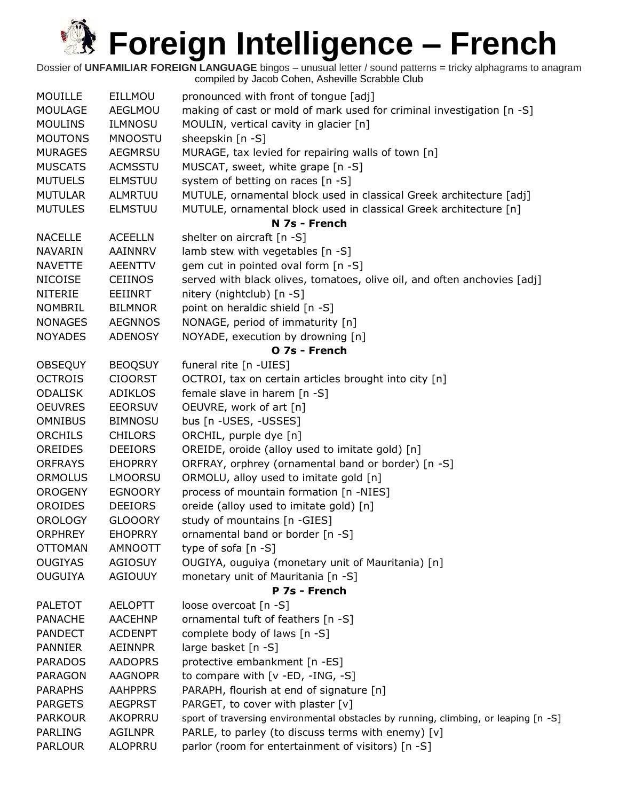| <b>MOUILLE</b> | EILLMOU        | pronounced with front of tongue [adj]                                               |
|----------------|----------------|-------------------------------------------------------------------------------------|
| <b>MOULAGE</b> | AEGLMOU        | making of cast or mold of mark used for criminal investigation [n -S]               |
| <b>MOULINS</b> | <b>ILMNOSU</b> | MOULIN, vertical cavity in glacier [n]                                              |
| <b>MOUTONS</b> | <b>MNOOSTU</b> | sheepskin [n -S]                                                                    |
| <b>MURAGES</b> | <b>AEGMRSU</b> | MURAGE, tax levied for repairing walls of town [n]                                  |
| <b>MUSCATS</b> | <b>ACMSSTU</b> | MUSCAT, sweet, white grape [n -S]                                                   |
| <b>MUTUELS</b> | <b>ELMSTUU</b> | system of betting on races [n -S]                                                   |
| <b>MUTULAR</b> | <b>ALMRTUU</b> | MUTULE, ornamental block used in classical Greek architecture [adj]                 |
| <b>MUTULES</b> | <b>ELMSTUU</b> | MUTULE, ornamental block used in classical Greek architecture [n]<br>N 7s - French  |
| <b>NACELLE</b> | <b>ACEELLN</b> | shelter on aircraft [n -S]                                                          |
| <b>NAVARIN</b> | AAINNRV        | lamb stew with vegetables [n -S]                                                    |
| <b>NAVETTE</b> | <b>AEENTTV</b> | gem cut in pointed oval form [n -S]                                                 |
| <b>NICOISE</b> | <b>CEIINOS</b> | served with black olives, tomatoes, olive oil, and often anchovies [adj]            |
| <b>NITERIE</b> | EEIINRT        | nitery (nightclub) [n -S]                                                           |
| <b>NOMBRIL</b> | <b>BILMNOR</b> | point on heraldic shield [n -S]                                                     |
| <b>NONAGES</b> | <b>AEGNNOS</b> | NONAGE, period of immaturity [n]                                                    |
| <b>NOYADES</b> | <b>ADENOSY</b> | NOYADE, execution by drowning [n]                                                   |
|                |                | O 7s - French                                                                       |
| <b>OBSEQUY</b> | <b>BEOQSUY</b> | funeral rite [n -UIES]                                                              |
| <b>OCTROIS</b> | <b>CIOORST</b> | OCTROI, tax on certain articles brought into city [n]                               |
| <b>ODALISK</b> | <b>ADIKLOS</b> | female slave in harem [n -S]                                                        |
| <b>OEUVRES</b> | <b>EEORSUV</b> | OEUVRE, work of art [n]                                                             |
| <b>OMNIBUS</b> | <b>BIMNOSU</b> | bus [n - USES, - USSES]                                                             |
| <b>ORCHILS</b> | <b>CHILORS</b> | ORCHIL, purple dye [n]                                                              |
| <b>OREIDES</b> | <b>DEEIORS</b> | OREIDE, oroide (alloy used to imitate gold) [n]                                     |
| <b>ORFRAYS</b> | <b>EHOPRRY</b> | ORFRAY, orphrey (ornamental band or border) [n -S]                                  |
| <b>ORMOLUS</b> | <b>LMOORSU</b> | ORMOLU, alloy used to imitate gold [n]                                              |
| <b>OROGENY</b> | <b>EGNOORY</b> | process of mountain formation [n -NIES]                                             |
| <b>OROIDES</b> | <b>DEEIORS</b> | oreide (alloy used to imitate gold) [n]                                             |
| <b>OROLOGY</b> | <b>GLOOORY</b> | study of mountains [n -GIES]                                                        |
| <b>ORPHREY</b> | <b>EHOPRRY</b> | ornamental band or border [n -S]                                                    |
| <b>OTTOMAN</b> | <b>AMNOOTT</b> | type of sofa [n -S]                                                                 |
| <b>OUGIYAS</b> | <b>AGIOSUY</b> | OUGIYA, ouguiya (monetary unit of Mauritania) [n]                                   |
| <b>OUGUIYA</b> | <b>AGIOUUY</b> | monetary unit of Mauritania [n -S]                                                  |
|                |                | P 7s - French                                                                       |
| <b>PALETOT</b> | <b>AELOPTT</b> | loose overcoat [n -S]                                                               |
| <b>PANACHE</b> | <b>AACEHNP</b> | ornamental tuft of feathers [n -S]                                                  |
| <b>PANDECT</b> | <b>ACDENPT</b> | complete body of laws [n -S]                                                        |
| <b>PANNIER</b> | <b>AEINNPR</b> | large basket [n -S]                                                                 |
| <b>PARADOS</b> | <b>AADOPRS</b> | protective embankment [n -ES]                                                       |
| <b>PARAGON</b> | <b>AAGNOPR</b> | to compare with [v -ED, -ING, -S]                                                   |
| <b>PARAPHS</b> | <b>AAHPPRS</b> | PARAPH, flourish at end of signature [n]                                            |
| <b>PARGETS</b> | <b>AEGPRST</b> | PARGET, to cover with plaster [v]                                                   |
| <b>PARKOUR</b> | AKOPRRU        | sport of traversing environmental obstacles by running, climbing, or leaping [n -S] |
| <b>PARLING</b> | <b>AGILNPR</b> | PARLE, to parley (to discuss terms with enemy) [v]                                  |
| <b>PARLOUR</b> | <b>ALOPRRU</b> | parlor (room for entertainment of visitors) [n -S]                                  |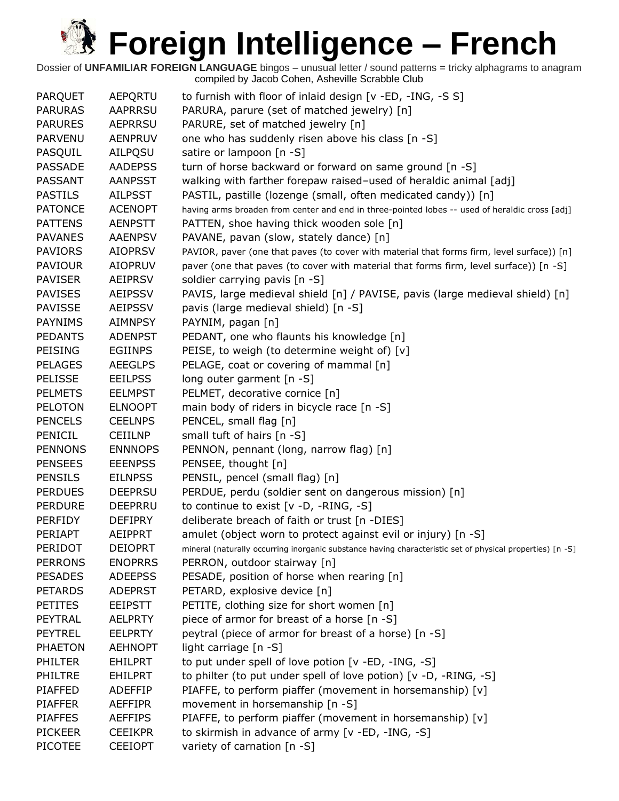| PARQUET        | AEPQRTU        | to furnish with floor of inlaid design [v -ED, -ING, -S S]                                                |
|----------------|----------------|-----------------------------------------------------------------------------------------------------------|
| <b>PARURAS</b> | <b>AAPRRSU</b> | PARURA, parure (set of matched jewelry) [n]                                                               |
| <b>PARURES</b> | <b>AEPRRSU</b> | PARURE, set of matched jewelry [n]                                                                        |
| <b>PARVENU</b> | <b>AENPRUV</b> | one who has suddenly risen above his class [n -S]                                                         |
| PASQUIL        | AILPQSU        | satire or lampoon [n -S]                                                                                  |
| <b>PASSADE</b> | <b>AADEPSS</b> | turn of horse backward or forward on same ground [n -S]                                                   |
| <b>PASSANT</b> | <b>AANPSST</b> | walking with farther forepaw raised-used of heraldic animal [adj]                                         |
| <b>PASTILS</b> | <b>AILPSST</b> | PASTIL, pastille (lozenge (small, often medicated candy)) [n]                                             |
| <b>PATONCE</b> | <b>ACENOPT</b> | having arms broaden from center and end in three-pointed lobes -- used of heraldic cross [adj]            |
| <b>PATTENS</b> | <b>AENPSTT</b> | PATTEN, shoe having thick wooden sole [n]                                                                 |
| <b>PAVANES</b> | <b>AAENPSV</b> | PAVANE, pavan (slow, stately dance) [n]                                                                   |
| <b>PAVIORS</b> | <b>AIOPRSV</b> | PAVIOR, paver (one that paves (to cover with material that forms firm, level surface)) [n]                |
| <b>PAVIOUR</b> | <b>AIOPRUV</b> | paver (one that paves (to cover with material that forms firm, level surface)) [n -S]                     |
| <b>PAVISER</b> | <b>AEIPRSV</b> | soldier carrying pavis [n -S]                                                                             |
| <b>PAVISES</b> | <b>AEIPSSV</b> | PAVIS, large medieval shield [n] / PAVISE, pavis (large medieval shield) [n]                              |
| <b>PAVISSE</b> | <b>AEIPSSV</b> | pavis (large medieval shield) [n -S]                                                                      |
| <b>PAYNIMS</b> | <b>AIMNPSY</b> | PAYNIM, pagan [n]                                                                                         |
| <b>PEDANTS</b> | <b>ADENPST</b> | PEDANT, one who flaunts his knowledge [n]                                                                 |
| <b>PEISING</b> | <b>EGIINPS</b> | PEISE, to weigh (to determine weight of) [v]                                                              |
| <b>PELAGES</b> | <b>AEEGLPS</b> | PELAGE, coat or covering of mammal [n]                                                                    |
| <b>PELISSE</b> | <b>EEILPSS</b> | long outer garment [n -S]                                                                                 |
| <b>PELMETS</b> | <b>EELMPST</b> | PELMET, decorative cornice [n]                                                                            |
| <b>PELOTON</b> | <b>ELNOOPT</b> | main body of riders in bicycle race [n -S]                                                                |
| <b>PENCELS</b> | <b>CEELNPS</b> | PENCEL, small flag [n]                                                                                    |
| PENICIL        | <b>CEIILNP</b> | small tuft of hairs [n -S]                                                                                |
| <b>PENNONS</b> | <b>ENNNOPS</b> | PENNON, pennant (long, narrow flag) [n]                                                                   |
| <b>PENSEES</b> | <b>EEENPSS</b> | PENSEE, thought [n]                                                                                       |
| <b>PENSILS</b> | <b>EILNPSS</b> | PENSIL, pencel (small flag) [n]                                                                           |
| <b>PERDUES</b> | <b>DEEPRSU</b> | PERDUE, perdu (soldier sent on dangerous mission) [n]                                                     |
| <b>PERDURE</b> | <b>DEEPRRU</b> | to continue to exist [v -D, -RING, -S]                                                                    |
| <b>PERFIDY</b> | <b>DEFIPRY</b> | deliberate breach of faith or trust [n -DIES]                                                             |
| <b>PERIAPT</b> | <b>AEIPPRT</b> | amulet (object worn to protect against evil or injury) [n -S]                                             |
| PERIDOT        | <b>DEIOPRT</b> | mineral (naturally occurring inorganic substance having characteristic set of physical properties) [n -S] |
| <b>PERRONS</b> | <b>ENOPRRS</b> | PERRON, outdoor stairway [n]                                                                              |
| <b>PESADES</b> | <b>ADEEPSS</b> | PESADE, position of horse when rearing [n]                                                                |
| <b>PETARDS</b> | <b>ADEPRST</b> | PETARD, explosive device [n]                                                                              |
| <b>PETITES</b> | <b>EEIPSTT</b> | PETITE, clothing size for short women [n]                                                                 |
| PEYTRAL        | <b>AELPRTY</b> | piece of armor for breast of a horse [n -S]                                                               |
| <b>PEYTREL</b> | <b>EELPRTY</b> | peytral (piece of armor for breast of a horse) [n -S]                                                     |
| <b>PHAETON</b> | <b>AEHNOPT</b> | light carriage [n -S]                                                                                     |
| <b>PHILTER</b> | <b>EHILPRT</b> | to put under spell of love potion [v -ED, -ING, -S]                                                       |
| <b>PHILTRE</b> | <b>EHILPRT</b> | to philter (to put under spell of love potion) [v -D, -RING, -S]                                          |
| <b>PIAFFED</b> | ADEFFIP        | PIAFFE, to perform piaffer (movement in horsemanship) [v]                                                 |
| <b>PIAFFER</b> | <b>AEFFIPR</b> | movement in horsemanship [n -S]                                                                           |
| <b>PIAFFES</b> | <b>AEFFIPS</b> | PIAFFE, to perform piaffer (movement in horsemanship) [v]                                                 |
| <b>PICKEER</b> | <b>CEEIKPR</b> | to skirmish in advance of army [v -ED, -ING, -S]                                                          |
| <b>PICOTEE</b> | <b>CEEIOPT</b> | variety of carnation [n -S]                                                                               |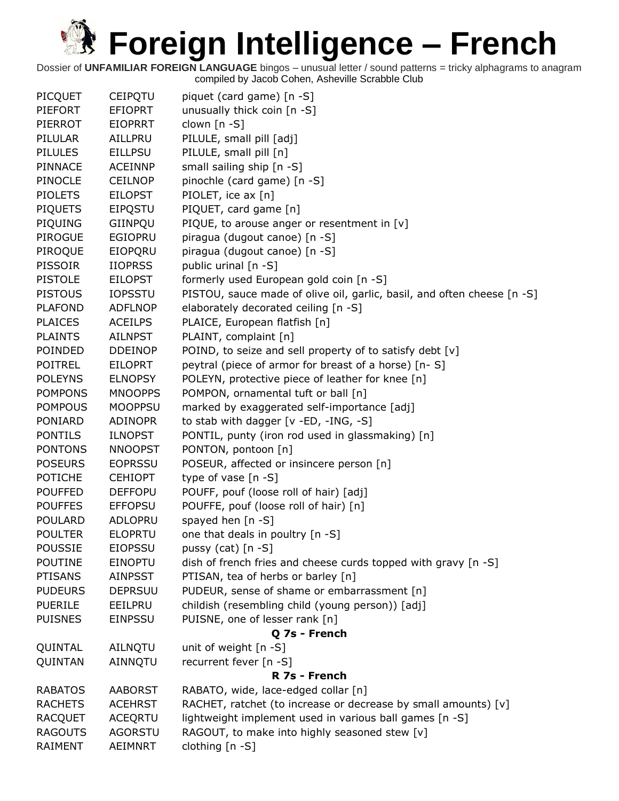| <b>PICQUET</b> | <b>CEIPQTU</b> | piquet (card game) [n -S]                                               |
|----------------|----------------|-------------------------------------------------------------------------|
| <b>PIEFORT</b> | <b>EFIOPRT</b> | unusually thick coin [n -S]                                             |
| PIERROT        | <b>EIOPRRT</b> | clown [n -S]                                                            |
| PILULAR        | AILLPRU        | PILULE, small pill [adj]                                                |
| <b>PILULES</b> | <b>EILLPSU</b> | PILULE, small pill [n]                                                  |
| <b>PINNACE</b> | <b>ACEINNP</b> | small sailing ship [n -S]                                               |
| <b>PINOCLE</b> | <b>CEILNOP</b> | pinochle (card game) [n -S]                                             |
| <b>PIOLETS</b> | <b>EILOPST</b> | PIOLET, ice ax [n]                                                      |
| <b>PIQUETS</b> | <b>EIPQSTU</b> | PIQUET, card game [n]                                                   |
| PIQUING        | GIINPOU        | PIQUE, to arouse anger or resentment in [v]                             |
| <b>PIROGUE</b> | <b>EGIOPRU</b> | piragua (dugout canoe) [n -S]                                           |
| PIROQUE        | EIOPQRU        | piragua (dugout canoe) [n -S]                                           |
| <b>PISSOIR</b> | <b>IIOPRSS</b> | public urinal [n -S]                                                    |
| <b>PISTOLE</b> | <b>EILOPST</b> | formerly used European gold coin [n -S]                                 |
| <b>PISTOUS</b> | <b>IOPSSTU</b> | PISTOU, sauce made of olive oil, garlic, basil, and often cheese [n -S] |
| <b>PLAFOND</b> | <b>ADFLNOP</b> | elaborately decorated ceiling [n -S]                                    |
| <b>PLAICES</b> | <b>ACEILPS</b> | PLAICE, European flatfish [n]                                           |
| <b>PLAINTS</b> | <b>AILNPST</b> | PLAINT, complaint [n]                                                   |
| POINDED        | <b>DDEINOP</b> | POIND, to seize and sell property of to satisfy debt [v]                |
| <b>POITREL</b> | <b>EILOPRT</b> | peytral (piece of armor for breast of a horse) [n-S]                    |
| <b>POLEYNS</b> | <b>ELNOPSY</b> | POLEYN, protective piece of leather for knee [n]                        |
| <b>POMPONS</b> | <b>MNOOPPS</b> | POMPON, ornamental tuft or ball [n]                                     |
| <b>POMPOUS</b> | <b>MOOPPSU</b> | marked by exaggerated self-importance [adj]                             |
| PONIARD        | <b>ADINOPR</b> | to stab with dagger [v -ED, -ING, -S]                                   |
| <b>PONTILS</b> | <b>ILNOPST</b> | PONTIL, punty (iron rod used in glassmaking) [n]                        |
| <b>PONTONS</b> | <b>NNOOPST</b> | PONTON, pontoon [n]                                                     |
| <b>POSEURS</b> | <b>EOPRSSU</b> | POSEUR, affected or insincere person [n]                                |
| <b>POTICHE</b> | <b>CEHIOPT</b> | type of vase $[n - S]$                                                  |
| <b>POUFFED</b> | <b>DEFFOPU</b> | POUFF, pouf (loose roll of hair) [adj]                                  |
| <b>POUFFES</b> | <b>EFFOPSU</b> | POUFFE, pouf (loose roll of hair) [n]                                   |
| <b>POULARD</b> | ADLOPRU        | spayed hen [n -S]                                                       |
| <b>POULTER</b> | <b>ELOPRTU</b> | one that deals in poultry [n -S]                                        |
| <b>POUSSIE</b> | <b>EIOPSSU</b> | pussy (cat) $[n -S]$                                                    |
| <b>POUTINE</b> | EINOPTU        | dish of french fries and cheese curds topped with gravy [n -S]          |
| <b>PTISANS</b> | <b>AINPSST</b> | PTISAN, tea of herbs or barley [n]                                      |
| <b>PUDEURS</b> | <b>DEPRSUU</b> | PUDEUR, sense of shame or embarrassment [n]                             |
| <b>PUERILE</b> | EEILPRU        | childish (resembling child (young person)) [adj]                        |
| <b>PUISNES</b> | <b>EINPSSU</b> | PUISNE, one of lesser rank [n]                                          |
|                |                | Q 7s - French                                                           |
| QUINTAL        | AILNQTU        | unit of weight [n -S]                                                   |
| QUINTAN        | AINNQTU        | recurrent fever [n -S]                                                  |
|                |                | R 7s - French                                                           |
| <b>RABATOS</b> | <b>AABORST</b> | RABATO, wide, lace-edged collar [n]                                     |
| <b>RACHETS</b> | <b>ACEHRST</b> | RACHET, ratchet (to increase or decrease by small amounts) [v]          |
| <b>RACQUET</b> | ACEQRTU        | lightweight implement used in various ball games [n -S]                 |
| <b>RAGOUTS</b> | <b>AGORSTU</b> | RAGOUT, to make into highly seasoned stew [v]                           |
| RAIMENT        | AEIMNRT        | clothing [n -S]                                                         |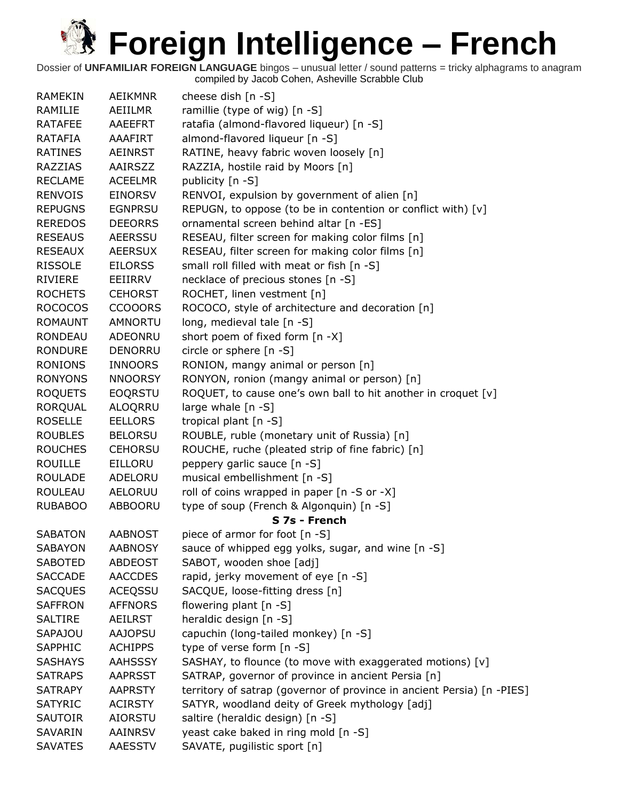| <b>RAMEKIN</b> | <b>AEIKMNR</b> | cheese dish $[n -S]$                                                   |
|----------------|----------------|------------------------------------------------------------------------|
| RAMILIE        | AEIILMR        | ramillie (type of wig) [n -S]                                          |
| <b>RATAFEE</b> | AAEEFRT        | ratafia (almond-flavored liqueur) [n -S]                               |
| RATAFIA        | <b>AAAFIRT</b> | almond-flavored liqueur [n -S]                                         |
| <b>RATINES</b> | <b>AEINRST</b> | RATINE, heavy fabric woven loosely [n]                                 |
| <b>RAZZIAS</b> | AAIRSZZ        | RAZZIA, hostile raid by Moors [n]                                      |
| <b>RECLAME</b> | <b>ACEELMR</b> | publicity [n -S]                                                       |
| <b>RENVOIS</b> | <b>EINORSV</b> | RENVOI, expulsion by government of alien [n]                           |
| <b>REPUGNS</b> | <b>EGNPRSU</b> | REPUGN, to oppose (to be in contention or conflict with) [v]           |
| <b>REREDOS</b> | <b>DEEORRS</b> | ornamental screen behind altar [n -ES]                                 |
| <b>RESEAUS</b> | <b>AEERSSU</b> | RESEAU, filter screen for making color films [n]                       |
| <b>RESEAUX</b> | <b>AEERSUX</b> | RESEAU, filter screen for making color films [n]                       |
| <b>RISSOLE</b> | <b>EILORSS</b> | small roll filled with meat or fish [n -S]                             |
| <b>RIVIERE</b> | EEIIRRV        | necklace of precious stones [n -S]                                     |
| <b>ROCHETS</b> | <b>CEHORST</b> | ROCHET, linen vestment [n]                                             |
| <b>ROCOCOS</b> | <b>CCOOORS</b> | ROCOCO, style of architecture and decoration [n]                       |
| <b>ROMAUNT</b> | <b>AMNORTU</b> | long, medieval tale [n -S]                                             |
| <b>RONDEAU</b> | ADEONRU        | short poem of fixed form [n -X]                                        |
| <b>RONDURE</b> | <b>DENORRU</b> | circle or sphere [n -S]                                                |
| <b>RONIONS</b> | <b>INNOORS</b> | RONION, mangy animal or person [n]                                     |
| <b>RONYONS</b> | <b>NNOORSY</b> | RONYON, ronion (mangy animal or person) [n]                            |
| <b>ROQUETS</b> | <b>EOQRSTU</b> | ROQUET, to cause one's own ball to hit another in croquet [v]          |
| <b>RORQUAL</b> | ALOQRRU        | large whale [n -S]                                                     |
| <b>ROSELLE</b> | <b>EELLORS</b> | tropical plant [n -S]                                                  |
| <b>ROUBLES</b> | <b>BELORSU</b> | ROUBLE, ruble (monetary unit of Russia) [n]                            |
| <b>ROUCHES</b> | <b>CEHORSU</b> | ROUCHE, ruche (pleated strip of fine fabric) [n]                       |
| <b>ROUILLE</b> | EILLORU        | peppery garlic sauce [n -S]                                            |
| <b>ROULADE</b> | ADELORU        | musical embellishment [n -S]                                           |
| <b>ROULEAU</b> | AELORUU        | roll of coins wrapped in paper [n -S or -X]                            |
| <b>RUBABOO</b> | ABBOORU        | type of soup (French & Algonquin) [n -S]                               |
|                |                | S 7s - French                                                          |
| <b>SABATON</b> | <b>AABNOST</b> | piece of armor for foot [n -S]                                         |
| <b>SABAYON</b> | <b>AABNOSY</b> | sauce of whipped egg yolks, sugar, and wine [n -S]                     |
| <b>SABOTED</b> | <b>ABDEOST</b> | SABOT, wooden shoe [adj]                                               |
| <b>SACCADE</b> | <b>AACCDES</b> | rapid, jerky movement of eye [n -S]                                    |
| <b>SACQUES</b> | <b>ACEQSSU</b> | SACQUE, loose-fitting dress [n]                                        |
| <b>SAFFRON</b> | <b>AFFNORS</b> | flowering plant [n -S]                                                 |
| <b>SALTIRE</b> | <b>AEILRST</b> | heraldic design [n -S]                                                 |
| SAPAJOU        | <b>AAJOPSU</b> | capuchin (long-tailed monkey) [n -S]                                   |
| SAPPHIC        | <b>ACHIPPS</b> | type of verse form [n -S]                                              |
| <b>SASHAYS</b> | <b>AAHSSSY</b> | SASHAY, to flounce (to move with exaggerated motions) [v]              |
| <b>SATRAPS</b> | <b>AAPRSST</b> | SATRAP, governor of province in ancient Persia [n]                     |
| <b>SATRAPY</b> | <b>AAPRSTY</b> | territory of satrap (governor of province in ancient Persia) [n -PIES] |
| <b>SATYRIC</b> | <b>ACIRSTY</b> | SATYR, woodland deity of Greek mythology [adj]                         |
| <b>SAUTOIR</b> | AIORSTU        | saltire (heraldic design) [n -S]                                       |
| SAVARIN        | AAINRSV        | yeast cake baked in ring mold [n -S]                                   |
| <b>SAVATES</b> | AAESSTV        | SAVATE, pugilistic sport [n]                                           |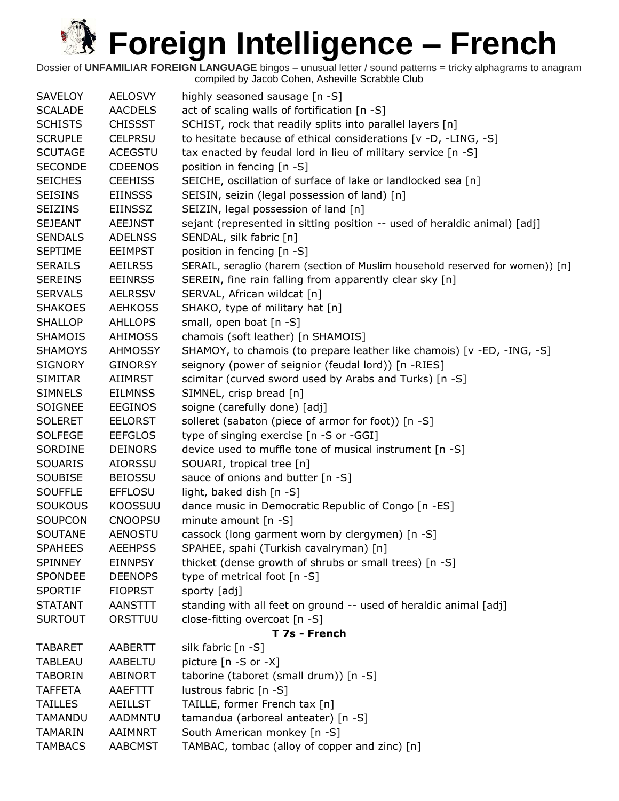| <b>SAVELOY</b> | <b>AELOSVY</b> | highly seasoned sausage [n -S]                                                |
|----------------|----------------|-------------------------------------------------------------------------------|
| <b>SCALADE</b> | <b>AACDELS</b> | act of scaling walls of fortification [n -S]                                  |
| <b>SCHISTS</b> | <b>CHISSST</b> | SCHIST, rock that readily splits into parallel layers [n]                     |
| <b>SCRUPLE</b> | <b>CELPRSU</b> | to hesitate because of ethical considerations [v -D, -LING, -S]               |
| <b>SCUTAGE</b> | <b>ACEGSTU</b> | tax enacted by feudal lord in lieu of military service [n -S]                 |
| <b>SECONDE</b> | <b>CDEENOS</b> | position in fencing [n -S]                                                    |
| <b>SEICHES</b> | <b>CEEHISS</b> | SEICHE, oscillation of surface of lake or landlocked sea [n]                  |
| <b>SEISINS</b> | <b>EIINSSS</b> | SEISIN, seizin (legal possession of land) [n]                                 |
| <b>SEIZINS</b> | <b>EIINSSZ</b> | SEIZIN, legal possession of land [n]                                          |
| <b>SEJEANT</b> | <b>AEEJNST</b> | sejant (represented in sitting position -- used of heraldic animal) [adj]     |
| <b>SENDALS</b> | <b>ADELNSS</b> | SENDAL, silk fabric [n]                                                       |
| <b>SEPTIME</b> | <b>EEIMPST</b> | position in fencing [n -S]                                                    |
| <b>SERAILS</b> | <b>AEILRSS</b> | SERAIL, seraglio (harem (section of Muslim household reserved for women)) [n] |
| <b>SEREINS</b> | <b>EEINRSS</b> | SEREIN, fine rain falling from apparently clear sky [n]                       |
| <b>SERVALS</b> | <b>AELRSSV</b> | SERVAL, African wildcat [n]                                                   |
| <b>SHAKOES</b> | <b>AEHKOSS</b> | SHAKO, type of military hat [n]                                               |
| <b>SHALLOP</b> | <b>AHLLOPS</b> | small, open boat [n -S]                                                       |
| <b>SHAMOIS</b> | <b>AHIMOSS</b> | chamois (soft leather) [n SHAMOIS]                                            |
| <b>SHAMOYS</b> | <b>AHMOSSY</b> | SHAMOY, to chamois (to prepare leather like chamois) [v -ED, -ING, -S]        |
| <b>SIGNORY</b> | <b>GINORSY</b> | seignory (power of seignior (feudal lord)) [n -RIES]                          |
| <b>SIMITAR</b> | <b>AIIMRST</b> | scimitar (curved sword used by Arabs and Turks) [n -S]                        |
| <b>SIMNELS</b> | <b>EILMNSS</b> | SIMNEL, crisp bread [n]                                                       |
| SOIGNEE        | <b>EEGINOS</b> | soigne (carefully done) [adj]                                                 |
| <b>SOLERET</b> | <b>EELORST</b> | solleret (sabaton (piece of armor for foot)) [n -S]                           |
| <b>SOLFEGE</b> | <b>EEFGLOS</b> | type of singing exercise [n -S or -GGI]                                       |
| SORDINE        | <b>DEINORS</b> | device used to muffle tone of musical instrument [n -S]                       |
| SOUARIS        | <b>AIORSSU</b> | SOUARI, tropical tree [n]                                                     |
| <b>SOUBISE</b> | <b>BEIOSSU</b> | sauce of onions and butter [n -S]                                             |
| <b>SOUFFLE</b> | <b>EFFLOSU</b> | light, baked dish [n -S]                                                      |
| <b>SOUKOUS</b> | <b>KOOSSUU</b> | dance music in Democratic Republic of Congo [n -ES]                           |
| <b>SOUPCON</b> | <b>CNOOPSU</b> | minute amount $[n - S]$                                                       |
| <b>SOUTANE</b> | <b>AENOSTU</b> | cassock (long garment worn by clergymen) [n -S]                               |
| <b>SPAHEES</b> | <b>AEEHPSS</b> | SPAHEE, spahi (Turkish cavalryman) [n]                                        |
| <b>SPINNEY</b> | <b>EINNPSY</b> | thicket (dense growth of shrubs or small trees) [n -S]                        |
| <b>SPONDEE</b> | <b>DEENOPS</b> | type of metrical foot [n -S]                                                  |
| <b>SPORTIF</b> | <b>FIOPRST</b> | sporty [adj]                                                                  |
| <b>STATANT</b> | <b>AANSTTT</b> | standing with all feet on ground -- used of heraldic animal [adj]             |
| <b>SURTOUT</b> | ORSTTUU        | close-fitting overcoat [n -S]                                                 |
|                |                | T 7s - French                                                                 |
| <b>TABARET</b> | <b>AABERTT</b> | silk fabric [n -S]                                                            |
| <b>TABLEAU</b> | <b>AABELTU</b> | picture $[n - S$ or $-X]$                                                     |
| <b>TABORIN</b> | <b>ABINORT</b> | taborine (taboret (small drum)) [n -S]                                        |
| <b>TAFFETA</b> | AAEFTTT        | lustrous fabric [n -S]                                                        |
| <b>TAILLES</b> | <b>AEILLST</b> | TAILLE, former French tax [n]                                                 |
| TAMANDU        | <b>AADMNTU</b> | tamandua (arboreal anteater) [n -S]                                           |
| <b>TAMARIN</b> | AAIMNRT        | South American monkey [n -S]                                                  |
| <b>TAMBACS</b> | <b>AABCMST</b> | TAMBAC, tombac (alloy of copper and zinc) [n]                                 |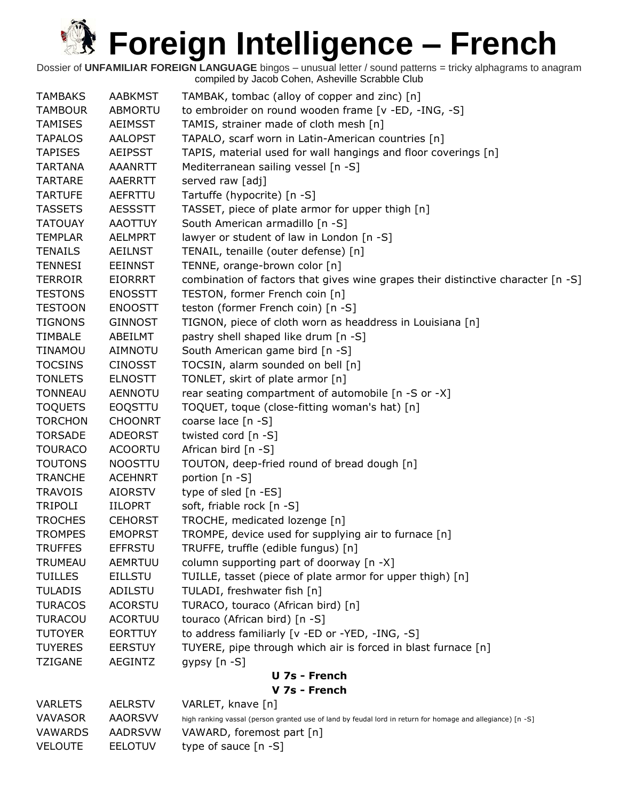Dossier of **UNFAMILIAR FOREIGN LANGUAGE** bingos – unusual letter / sound patterns = tricky alphagrams to anagram compiled by Jacob Cohen, Asheville Scrabble Club

| <b>TAMBAKS</b> | <b>AABKMST</b> | TAMBAK, tombac (alloy of copper and zinc) [n]                                                              |  |  |  |
|----------------|----------------|------------------------------------------------------------------------------------------------------------|--|--|--|
| <b>TAMBOUR</b> | ABMORTU        | to embroider on round wooden frame [v -ED, -ING, -S]                                                       |  |  |  |
| <b>TAMISES</b> | <b>AEIMSST</b> | TAMIS, strainer made of cloth mesh [n]                                                                     |  |  |  |
| <b>TAPALOS</b> | <b>AALOPST</b> | TAPALO, scarf worn in Latin-American countries [n]                                                         |  |  |  |
| <b>TAPISES</b> | <b>AEIPSST</b> | TAPIS, material used for wall hangings and floor coverings [n]                                             |  |  |  |
| <b>TARTANA</b> | AAANRTT        | Mediterranean sailing vessel [n -S]                                                                        |  |  |  |
| <b>TARTARE</b> | AAERRTT        | served raw [adj]                                                                                           |  |  |  |
| <b>TARTUFE</b> | AEFRTTU        | Tartuffe (hypocrite) [n -S]                                                                                |  |  |  |
| <b>TASSETS</b> | <b>AESSSTT</b> | TASSET, piece of plate armor for upper thigh [n]                                                           |  |  |  |
| <b>TATOUAY</b> | <b>AAOTTUY</b> | South American armadillo [n -S]                                                                            |  |  |  |
| <b>TEMPLAR</b> | <b>AELMPRT</b> | lawyer or student of law in London [n -S]                                                                  |  |  |  |
| <b>TENAILS</b> | <b>AEILNST</b> | TENAIL, tenaille (outer defense) [n]                                                                       |  |  |  |
| <b>TENNESI</b> | EEINNST        | TENNE, orange-brown color [n]                                                                              |  |  |  |
| <b>TERROIR</b> | <b>EIORRRT</b> | combination of factors that gives wine grapes their distinctive character [n -S]                           |  |  |  |
| <b>TESTONS</b> | <b>ENOSSTT</b> | TESTON, former French coin [n]                                                                             |  |  |  |
| <b>TESTOON</b> | <b>ENOOSTT</b> | teston (former French coin) [n -S]                                                                         |  |  |  |
| <b>TIGNONS</b> | <b>GINNOST</b> | TIGNON, piece of cloth worn as headdress in Louisiana [n]                                                  |  |  |  |
| <b>TIMBALE</b> | ABEILMT        | pastry shell shaped like drum [n -S]                                                                       |  |  |  |
| TINAMOU        | <b>AIMNOTU</b> | South American game bird [n -S]                                                                            |  |  |  |
| <b>TOCSINS</b> | <b>CINOSST</b> | TOCSIN, alarm sounded on bell [n]                                                                          |  |  |  |
| <b>TONLETS</b> | <b>ELNOSTT</b> | TONLET, skirt of plate armor [n]                                                                           |  |  |  |
| <b>TONNEAU</b> | <b>AENNOTU</b> | rear seating compartment of automobile [n -S or -X]                                                        |  |  |  |
| <b>TOQUETS</b> | <b>EOQSTTU</b> | TOQUET, toque (close-fitting woman's hat) [n]                                                              |  |  |  |
| <b>TORCHON</b> | <b>CHOONRT</b> | coarse lace [n -S]                                                                                         |  |  |  |
| <b>TORSADE</b> | <b>ADEORST</b> | twisted cord [n -S]                                                                                        |  |  |  |
| <b>TOURACO</b> | <b>ACOORTU</b> | African bird [n -S]                                                                                        |  |  |  |
| <b>TOUTONS</b> | <b>NOOSTTU</b> | TOUTON, deep-fried round of bread dough [n]                                                                |  |  |  |
| <b>TRANCHE</b> | <b>ACEHNRT</b> | portion [n -S]                                                                                             |  |  |  |
| <b>TRAVOIS</b> | <b>AIORSTV</b> | type of sled [n -ES]                                                                                       |  |  |  |
| <b>TRIPOLI</b> | <b>IILOPRT</b> | soft, friable rock [n -S]                                                                                  |  |  |  |
| <b>TROCHES</b> | <b>CEHORST</b> | TROCHE, medicated lozenge [n]                                                                              |  |  |  |
| <b>TROMPES</b> | <b>EMOPRST</b> | TROMPE, device used for supplying air to furnace [n]                                                       |  |  |  |
| <b>TRUFFES</b> | <b>EFFRSTU</b> | TRUFFE, truffle (edible fungus) [n]                                                                        |  |  |  |
|                |                |                                                                                                            |  |  |  |
| TRUMEAU        | AEMRTUU        | column supporting part of doorway [n -X]                                                                   |  |  |  |
| <b>TUILLES</b> | <b>EILLSTU</b> | TUILLE, tasset (piece of plate armor for upper thigh) [n]                                                  |  |  |  |
| <b>TULADIS</b> | ADILSTU        | TULADI, freshwater fish [n]                                                                                |  |  |  |
| <b>TURACOS</b> | <b>ACORSTU</b> | TURACO, touraco (African bird) [n]                                                                         |  |  |  |
| <b>TURACOU</b> | <b>ACORTUU</b> | touraco (African bird) [n -S]                                                                              |  |  |  |
| <b>TUTOYER</b> | <b>EORTTUY</b> | to address familiarly [v -ED or -YED, -ING, -S]                                                            |  |  |  |
| <b>TUYERES</b> | <b>EERSTUY</b> | TUYERE, pipe through which air is forced in blast furnace [n]                                              |  |  |  |
| <b>TZIGANE</b> | <b>AEGINTZ</b> | gypsy $[n - S]$                                                                                            |  |  |  |
| U 7s - French  |                |                                                                                                            |  |  |  |
| V 7s - French  |                |                                                                                                            |  |  |  |
| <b>VARLETS</b> | <b>AELRSTV</b> | VARLET, knave [n]                                                                                          |  |  |  |
| <b>VAVASOR</b> | <b>AAORSVV</b> | high ranking vassal (person granted use of land by feudal lord in return for homage and allegiance) [n -S] |  |  |  |
| <b>VAWARDS</b> | <b>AADRSVW</b> | VAWARD, foremost part [n]                                                                                  |  |  |  |

VELOUTE EELOTUV type of sauce [n -S]